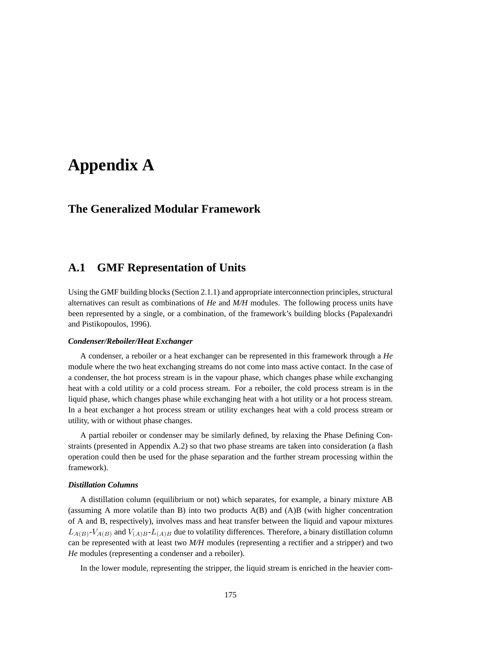# **Appendix A**

## **The Generalized Modular Framework**

## **A.1 GMF Representation of Units**

Using the GMF building blocks (Section 2.1.1) and appropriate interconnection principles, structural alternatives can result as combinations of *He* and *M/H* modules. The following process units have been represented by a single, or a combination, of the framework's building blocks (Papalexandri and Pistikopoulos, 1996).

#### *Condenser/Reboiler/Heat Exchanger*

A condenser, a reboiler or a heat exchanger can be represented in this framework through a *He* module where the two heat exchanging streams do not come into mass active contact. In the case of a condenser, the hot process stream is in the vapour phase, which changes phase while exchanging heat with a cold utility or a cold process stream. For a reboiler, the cold process stream is in the liquid phase, which changes phase while exchanging heat with a hot utility or a hot process stream. In a heat exchanger a hot process stream or utility exchanges heat with a cold process stream or utility, with or without phase changes.

A partial reboiler or condenser may be similarly defined, by relaxing the Phase Defining Constraints (presented in Appendix A.2) so that two phase streams are taken into consideration (a flash operation could then be used for the phase separation and the further stream processing within the framework).

#### *Distillation Columns*

A distillation column (equilibrium or not) which separates, for example, a binary mixture AB (assuming A more volatile than B) into two products A(B) and (A)B (with higher concentration of A and B, respectively), involves mass and heat transfer between the liquid and vapour mixtures  $L_{A(B)}$ - $V_{A(B)}$  and  $V_{(A)B}$ - $L_{(A)B}$  due to volatility differences. Therefore, a binary distillation column can be represented with at least two *M/H* modules (representing a rectifier and a stripper) and two *He* modules (representing a condenser and a reboiler).

In the lower module, representing the stripper, the liquid stream is enriched in the heavier com-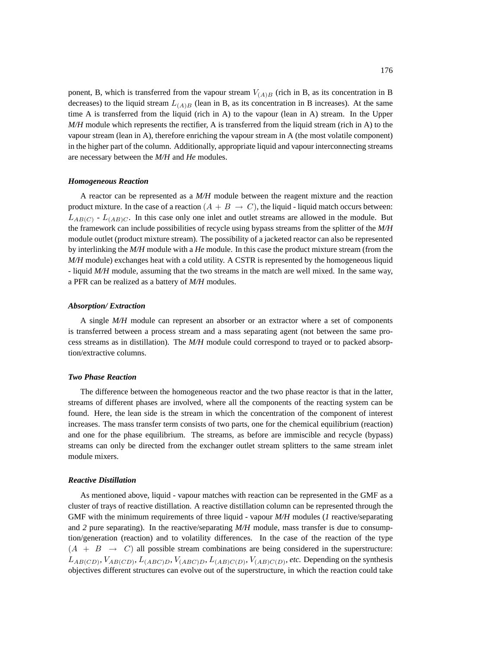ponent, B, which is transferred from the vapour stream  $V_{(A)B}$  (rich in B, as its concentration in B decreases) to the liquid stream  $L_{(A)B}$  (lean in B, as its concentration in B increases). At the same time A is transferred from the liquid (rich in A) to the vapour (lean in A) stream. In the Upper *M/H* module which represents the rectifier, A is transferred from the liquid stream (rich in A) to the vapour stream (lean in A), therefore enriching the vapour stream in A (the most volatile component) in the higher part of the column. Additionally, appropriate liquid and vapour interconnecting streams are necessary between the *M/H* and *He* modules.

#### *Homogeneous Reaction*

A reactor can be represented as a *M/H* module between the reagent mixture and the reaction product mixture. In the case of a reaction  $(A + B \rightarrow C)$ , the liquid - liquid match occurs between:  $L_{AB(C)}$  -  $L_{(AB)C}$ . In this case only one inlet and outlet streams are allowed in the module. But the framework can include possibilities of recycle using bypass streams from the splitter of the *M/H* module outlet (product mixture stream). The possibility of a jacketed reactor can also be represented by interlinking the *M/H* module with a *He* module. In this case the product mixture stream (from the *M/H* module) exchanges heat with a cold utility. A CSTR is represented by the homogeneous liquid - liquid *M/H* module, assuming that the two streams in the match are well mixed. In the same way, a PFR can be realized as a battery of *M/H* modules.

#### *Absorption/ Extraction*

A single *M/H* module can represent an absorber or an extractor where a set of components is transferred between a process stream and a mass separating agent (not between the same process streams as in distillation). The *M/H* module could correspond to trayed or to packed absorption/extractive columns.

#### *Two Phase Reaction*

The difference between the homogeneous reactor and the two phase reactor is that in the latter, streams of different phases are involved, where all the components of the reacting system can be found. Here, the lean side is the stream in which the concentration of the component of interest increases. The mass transfer term consists of two parts, one for the chemical equilibrium (reaction) and one for the phase equilibrium. The streams, as before are immiscible and recycle (bypass) streams can only be directed from the exchanger outlet stream splitters to the same stream inlet module mixers.

#### *Reactive Distillation*

As mentioned above, liquid - vapour matches with reaction can be represented in the GMF as a cluster of trays of reactive distillation. A reactive distillation column can be represented through the GMF with the minimum requirements of three liquid - vapour *M/H* modules (*1* reactive/separating and *2* pure separating). In the reactive/separating *M/H* module, mass transfer is due to consumption/generation (reaction) and to volatility differences. In the case of the reaction of the type  $(A + B \rightarrow C)$  all possible stream combinations are being considered in the superstructure:  $L_{AB(CD)}$ ,  $V_{AB(CD)}$ ,  $L_{(ABC)D}$ ,  $V_{(ABC)D}$ ,  $L_{(AB)C(D)}$ ,  $V_{(AB)C(D)}$ , etc. Depending on the synthesis objectives different structures can evolve out of the superstructure, in which the reaction could take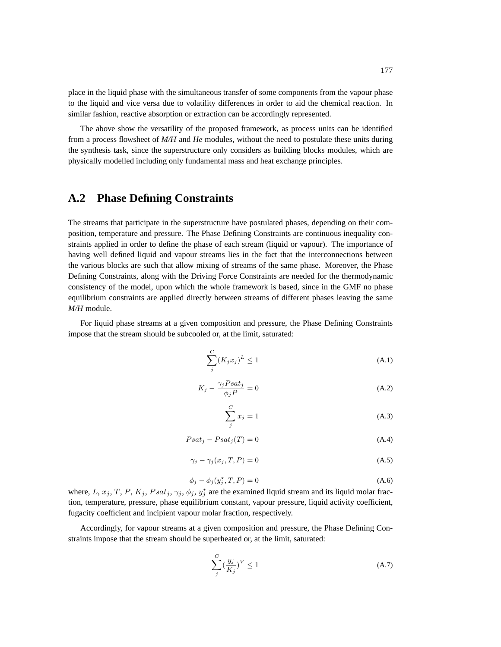place in the liquid phase with the simultaneous transfer of some components from the vapour phase to the liquid and vice versa due to volatility differences in order to aid the chemical reaction. In similar fashion, reactive absorption or extraction can be accordingly represented.

The above show the versatility of the proposed framework, as process units can be identified from a process flowsheet of *M/H* and *He* modules, without the need to postulate these units during the synthesis task, since the superstructure only considers as building blocks modules, which are physically modelled including only fundamental mass and heat exchange principles.

### **A.2 Phase Defining Constraints**

The streams that participate in the superstructure have postulated phases, depending on their composition, temperature and pressure. The Phase Defining Constraints are continuous inequality constraints applied in order to define the phase of each stream (liquid or vapour). The importance of having well defined liquid and vapour streams lies in the fact that the interconnections between the various blocks are such that allow mixing of streams of the same phase. Moreover, the Phase Defining Constraints, along with the Driving Force Constraints are needed for the thermodynamic consistency of the model, upon which the whole framework is based, since in the GMF no phase equilibrium constraints are applied directly between streams of different phases leaving the same *M/H* module.

For liquid phase streams at a given composition and pressure, the Phase Defining Constraints impose that the stream should be subcooled or, at the limit, saturated:

$$
\sum_{j}^{C} (K_j x_j)^L \le 1
$$
\n(A.1)

$$
K_j - \frac{\gamma_j P s a t_j}{\phi_j P} = 0 \tag{A.2}
$$

$$
\sum_{j}^{C} x_j = 1 \tag{A.3}
$$

$$
Psat_j - Psat_j(T) = 0 \t\t (A.4)
$$

$$
\gamma_j - \gamma_j(x_j, T, P) = 0 \tag{A.5}
$$

$$
\phi_j - \phi_j(y_j^*, T, P) = 0 \tag{A.6}
$$

where, L,  $x_j$ , T, P,  $K_j$ ,  $Psat_j$ ,  $\gamma_j$ ,  $\phi_j$ ,  $y_j^*$  are the examined liquid stream and its liquid molar fraction, temperature, pressure, phase equilibrium constant, vapour pressure, liquid activity coefficient, fugacity coefficient and incipient vapour molar fraction, respectively.

Accordingly, for vapour streams at a given composition and pressure, the Phase Defining Constraints impose that the stream should be superheated or, at the limit, saturated:

$$
\sum_{j}^{C} \left(\frac{y_j}{K_j}\right)^V \le 1\tag{A.7}
$$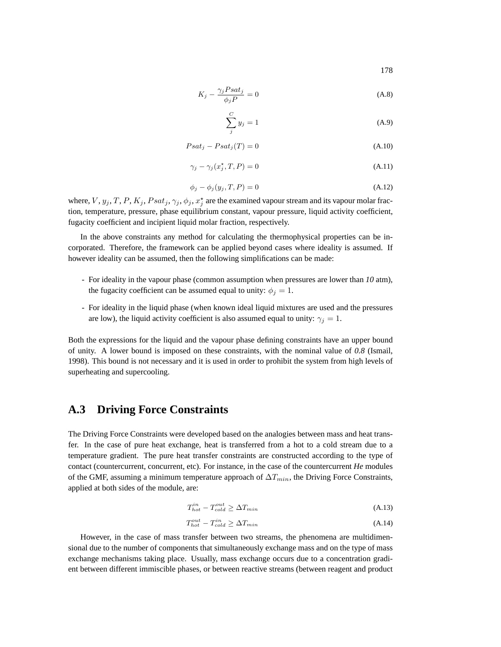$$
K_j - \frac{\gamma_j P s a t_j}{\phi_j P} = 0 \tag{A.8}
$$

$$
\sum_{j}^{C} y_j = 1 \tag{A.9}
$$

$$
Psat_j - Psat_j(T) = 0
$$
\n(A.10)

$$
\gamma_j - \gamma_j(x_j^*, T, P) = 0 \tag{A.11}
$$

$$
\phi_j - \phi_j(y_j, T, P) = 0 \tag{A.12}
$$

where,  $V, y_j, T, P, K_j, Psat_j, \gamma_j, \phi_j, x_j^*$  are the examined vapour stream and its vapour molar fraction, temperature, pressure, phase equilibrium constant, vapour pressure, liquid activity coefficient, fugacity coefficient and incipient liquid molar fraction, respectively.

In the above constraints any method for calculating the thermophysical properties can be incorporated. Therefore, the framework can be applied beyond cases where ideality is assumed. If however ideality can be assumed, then the following simplifications can be made:

- For ideality in the vapour phase (common assumption when pressures are lower than *10* atm), the fugacity coefficient can be assumed equal to unity:  $\phi_j = 1$ .
- For ideality in the liquid phase (when known ideal liquid mixtures are used and the pressures are low), the liquid activity coefficient is also assumed equal to unity:  $\gamma_i = 1$ .

Both the expressions for the liquid and the vapour phase defining constraints have an upper bound of unity. A lower bound is imposed on these constraints, with the nominal value of *0.8* (Ismail, 1998). This bound is not necessary and it is used in order to prohibit the system from high levels of superheating and supercooling.

## **A.3 Driving Force Constraints**

The Driving Force Constraints were developed based on the analogies between mass and heat transfer. In the case of pure heat exchange, heat is transferred from a hot to a cold stream due to a temperature gradient. The pure heat transfer constraints are constructed according to the type of contact (countercurrent, concurrent, etc). For instance, in the case of the countercurrent *He* modules of the GMF, assuming a minimum temperature approach of  $\Delta T_{min}$ , the Driving Force Constraints, applied at both sides of the module, are:

$$
T_{hot}^{in} - T_{cold}^{out} \ge \Delta T_{min} \tag{A.13}
$$

$$
T_{hot}^{out} - T_{cold}^{in} \ge \Delta T_{min} \tag{A.14}
$$

However, in the case of mass transfer between two streams, the phenomena are multidimensional due to the number of components that simultaneously exchange mass and on the type of mass exchange mechanisms taking place. Usually, mass exchange occurs due to a concentration gradient between different immiscible phases, or between reactive streams (between reagent and product

178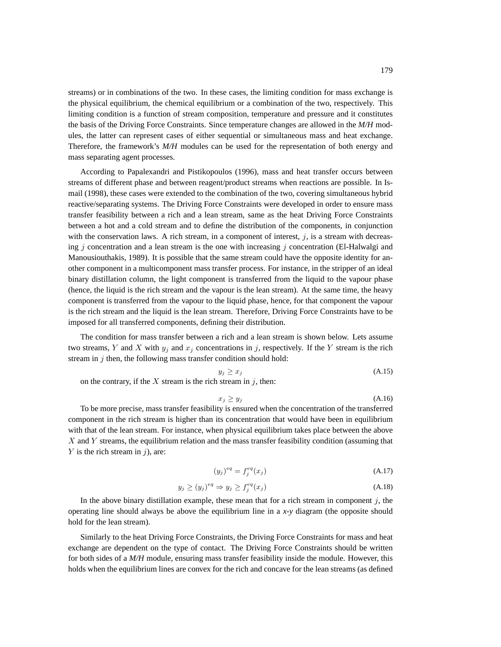streams) or in combinations of the two. In these cases, the limiting condition for mass exchange is the physical equilibrium, the chemical equilibrium or a combination of the two, respectively. This limiting condition is a function of stream composition, temperature and pressure and it constitutes the basis of the Driving Force Constraints. Since temperature changes are allowed in the *M/H* modules, the latter can represent cases of either sequential or simultaneous mass and heat exchange. Therefore, the framework's *M/H* modules can be used for the representation of both energy and mass separating agent processes.

According to Papalexandri and Pistikopoulos (1996), mass and heat transfer occurs between streams of different phase and between reagent/product streams when reactions are possible. In Ismail (1998), these cases were extended to the combination of the two, covering simultaneous hybrid reactive/separating systems. The Driving Force Constraints were developed in order to ensure mass transfer feasibility between a rich and a lean stream, same as the heat Driving Force Constraints between a hot and a cold stream and to define the distribution of the components, in conjunction with the conservation laws. A rich stream, in a component of interest,  $j$ , is a stream with decreasing j concentration and a lean stream is the one with increasing j concentration (El-Halwalgi and Manousiouthakis, 1989). It is possible that the same stream could have the opposite identity for another component in a multicomponent mass transfer process. For instance, in the stripper of an ideal binary distillation column, the light component is transferred from the liquid to the vapour phase (hence, the liquid is the rich stream and the vapour is the lean stream). At the same time, the heavy component is transferred from the vapour to the liquid phase, hence, for that component the vapour is the rich stream and the liquid is the lean stream. Therefore, Driving Force Constraints have to be imposed for all transferred components, defining their distribution.

The condition for mass transfer between a rich and a lean stream is shown below. Lets assume two streams, Y and X with  $y_i$  and  $x_j$  concentrations in j, respectively. If the Y stream is the rich stream in  $j$  then, the following mass transfer condition should hold:

$$
y_j \ge x_j \tag{A.15}
$$

on the contrary, if the  $X$  stream is the rich stream in  $j$ , then:

$$
x_j \ge y_j \tag{A.16}
$$

To be more precise, mass transfer feasibility is ensured when the concentration of the transferred component in the rich stream is higher than its concentration that would have been in equilibrium with that of the lean stream. For instance, when physical equilibrium takes place between the above  $X$  and  $Y$  streams, the equilibrium relation and the mass transfer feasibility condition (assuming that  $Y$  is the rich stream in  $i$ ), are:

$$
(y_j)^{eq} = f_j^{eq}(x_j) \tag{A.17}
$$

$$
y_j \ge (y_j)^{eq} \Rightarrow y_j \ge f_j^{eq}(x_j)
$$
\n(A.18)

In the above binary distillation example, these mean that for a rich stream in component  $j$ , the operating line should always be above the equilibrium line in a *x-y* diagram (the opposite should hold for the lean stream).

Similarly to the heat Driving Force Constraints, the Driving Force Constraints for mass and heat exchange are dependent on the type of contact. The Driving Force Constraints should be written for both sides of a *M/H* module, ensuring mass transfer feasibility inside the module. However, this holds when the equilibrium lines are convex for the rich and concave for the lean streams (as defined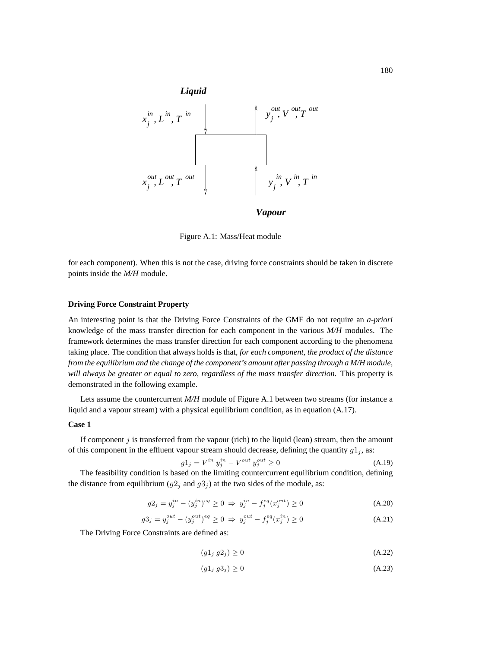

Figure A.1: Mass/Heat module

for each component). When this is not the case, driving force constraints should be taken in discrete points inside the *M/H* module.

#### **Driving Force Constraint Property**

An interesting point is that the Driving Force Constraints of the GMF do not require an *a-priori* knowledge of the mass transfer direction for each component in the various *M/H* modules. The framework determines the mass transfer direction for each component according to the phenomena taking place. The condition that always holds is that, *for each component, the product of the distance from the equilibrium and the change of the component's amount after passing through a M/H module, will always be greater or equal to zero, regardless of the mass transfer direction*. This property is demonstrated in the following example.

Lets assume the countercurrent *M/H* module of Figure A.1 between two streams (for instance a liquid and a vapour stream) with a physical equilibrium condition, as in equation (A.17).

#### **Case 1**

If component  $j$  is transferred from the vapour (rich) to the liquid (lean) stream, then the amount of this component in the effluent vapour stream should decrease, defining the quantity  $g1_i$ , as:

$$
g1_j = V^{in} y_j^{in} - V^{out} y_j^{out} \ge 0
$$
 (A.19)

The feasibility condition is based on the limiting countercurrent equilibrium condition, defining the distance from equilibrium  $(g2_j \text{ and } g3_j)$  at the two sides of the module, as:

$$
g2_j = y_j^{in} - (y_j^{in})^{eq} \ge 0 \implies y_j^{in} - f_j^{eq}(x_j^{out}) \ge 0
$$
\n(A.20)

$$
g3_j = y_j^{out} - (y_j^{out})^{eq} \ge 0 \implies y_j^{out} - f_j^{eq}(x_j^{in}) \ge 0
$$
\n(A.21)

The Driving Force Constraints are defined as:

$$
(g1_j g2_j) \ge 0 \tag{A.22}
$$

$$
(g1_j g3_j) \ge 0 \tag{A.23}
$$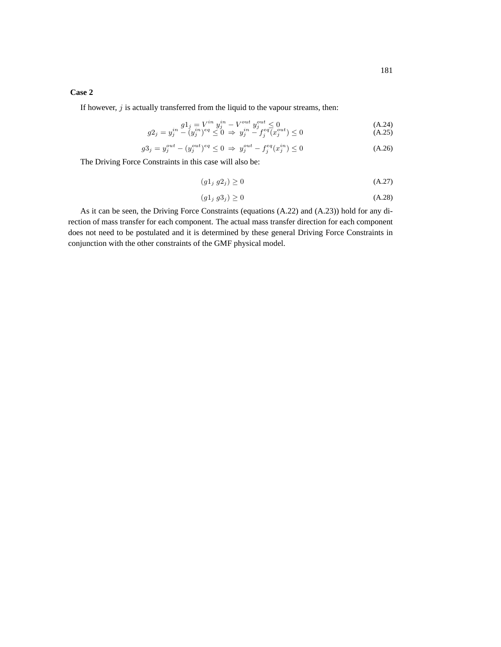### **Case 2**

If however,  $j$  is actually transferred from the liquid to the vapour streams, then:

$$
g2_j = y_j^{in} \frac{g1_j = V^{in} y_j^{in} - V^{out} y_j^{out} \le 0}{(A.24)}
$$
  
\n
$$
g2_j = y_j^{in} - (y_j^{in})^{eq} \le 0 \Rightarrow y_j^{in} - f_j^{eq}(x_j^{out}) \le 0
$$
\n(A.25)

$$
g3_j = y_j^{out} - (y_j^{out})^{eq} \le 0 \implies y_j^{out} - f_j^{eq}(x_j^{in}) \le 0
$$
\n(A.26)

The Driving Force Constraints in this case will also be:

$$
(g1_j g2_j) \ge 0 \tag{A.27}
$$

$$
(g1_j g3_j) \ge 0 \tag{A.28}
$$

As it can be seen, the Driving Force Constraints (equations (A.22) and (A.23)) hold for any direction of mass transfer for each component. The actual mass transfer direction for each component does not need to be postulated and it is determined by these general Driving Force Constraints in conjunction with the other constraints of the GMF physical model.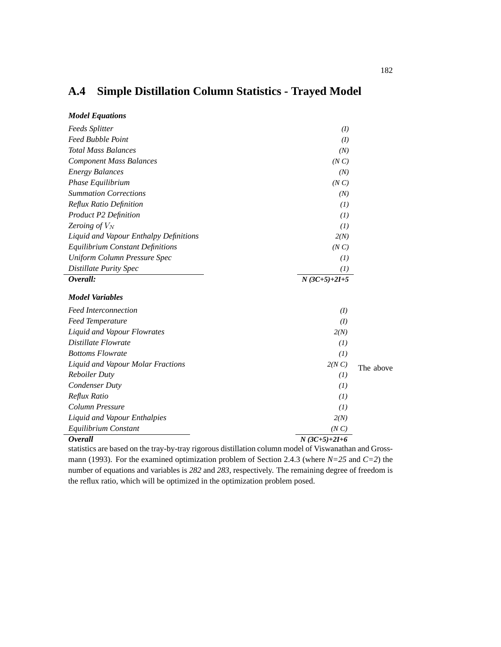## **A.4 Simple Distillation Column Statistics - Trayed Model**

| <b>Model Equations</b>                  |                |           |
|-----------------------------------------|----------------|-----------|
| <b>Feeds Splitter</b>                   | (I)            |           |
| <b>Feed Bubble Point</b>                | (I)            |           |
| <b>Total Mass Balances</b>              | (N)            |           |
| <b>Component Mass Balances</b>          | (NC)           |           |
| <b>Energy Balances</b>                  | (N)            |           |
| Phase Equilibrium                       | (NC)           |           |
| <b>Summation Corrections</b>            | (N)            |           |
| Reflux Ratio Definition                 | (I)            |           |
| <b>Product P2 Definition</b>            | (I)            |           |
| Zeroing of $V_N$                        | (1)            |           |
| Liquid and Vapour Enthalpy Definitions  | 2(N)           |           |
| <b>Equilibrium Constant Definitions</b> | (NC)           |           |
| Uniform Column Pressure Spec            | (I)            |           |
| <b>Distillate Purity Spec</b>           | (I)            |           |
| Overall:                                | $N(3C+5)+2I+5$ |           |
| <b>Model Variables</b>                  |                |           |
| <b>Feed Interconnection</b>             | (I)            |           |
| <b>Feed Temperature</b>                 | (I)            |           |
| Liquid and Vapour Flowrates             | 2(N)           |           |
| Distillate Flowrate                     | (I)            |           |
| <b>Bottoms Flowrate</b>                 | (1)            |           |
| Liquid and Vapour Molar Fractions       | 2(NC)          | The above |
| <b>Reboiler Duty</b>                    | (I)            |           |
| Condenser Duty                          | (I)            |           |
| Reflux Ratio                            | (I)            |           |
| Column Pressure                         | (1)            |           |
| Liquid and Vapour Enthalpies            | 2(N)           |           |
| Equilibrium Constant                    | (NC)           |           |
| <b>Overall</b>                          | $N(3C+5)+2I+6$ |           |
|                                         |                |           |

statistics are based on the tray-by-tray rigorous distillation column model of Viswanathan and Grossmann (1993). For the examined optimization problem of Section 2.4.3 (where *N=25* and *C=2*) the number of equations and variables is *282* and *283*, respectively. The remaining degree of freedom is the reflux ratio, which will be optimized in the optimization problem posed.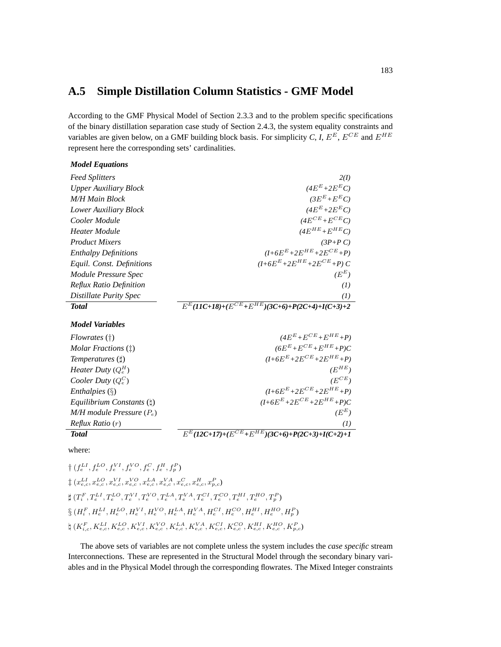## **A.5 Simple Distillation Column Statistics - GMF Model**

According to the GMF Physical Model of Section 2.3.3 and to the problem specific specifications of the binary distillation separation case study of Section 2.4.3, the system equality constraints and variables are given below, on a GMF building block basis. For simplicity *C*, *I*,  $E^E$ ,  $E^{CE}$  and  $E^{HE}$ represent here the corresponding sets' cardinalities.

| <b>Model Equations</b>         |                                                                 |
|--------------------------------|-----------------------------------------------------------------|
| <b>Feed Splitters</b>          | 2(I)                                                            |
| <b>Upper Auxiliary Block</b>   | $(4E^{E}+2E^{E}C)$                                              |
| <b>M/H Main Block</b>          | $(3E^{E}+E^{E}C)$                                               |
| Lower Auxiliary Block          | $(4E^{E}+2E^{E}C)$                                              |
| Cooler Module                  | $(4E^{CE} + E^{CE}C)$                                           |
| Heater Module                  | $(4E^{HE}+E^{HE}C)$                                             |
| <b>Product Mixers</b>          | $(3P+PC)$                                                       |
| <b>Enthalpy Definitions</b>    | $(I+6E^{E}+2E^{HE}+2E^{CE}+P)$                                  |
| Equil. Const. Definitions      | $(I+6E^{E}+2E^{HE}+2E^{CE}+P)C$                                 |
| Module Pressure Spec           | $(E^E)$                                                         |
| <b>Reflux Ratio Definition</b> | (I)                                                             |
| Distillate Purity Spec         | (I)                                                             |
| <b>Total</b>                   | $E^{E}$ (11C+18)+( $E^{CE}$ + $E^{HE}$ )(3C+6)+P(2C+4)+I(C+3)+2 |
| <b>Model Variables</b>         |                                                                 |
| $Flowrates$ (†)                | $(4E^{E} + E^{CE} + E^{HE} + P)$                                |
| Molar Fractions (†)            | $(6E^{E}+E^{CE}+E^{HE}+P)C$                                     |
| Temperatures $(\sharp)$        | $(I+6E^{E}+2E^{CE}+2E^{HE}+P)$                                  |
| <i>Heater Duty</i> $(Q_e^H)$   | $(E^{HE})$                                                      |
| Cooler Duty $(Q_e^C)$          | $(E^{CE})$                                                      |
| Enthalpies $(\S)$              | $(I+6E^{E}+2E^{CE}+2E^{HE}+P)$                                  |
| Equilibrium Constants $(i)$    | $(I+6E^{E}+2E^{CE}+2E^{HE}+P)C$                                 |
| $M/H$ module Pressure $(P_e)$  | $(E^E)$                                                         |
| Reflux Ratio(r)                | (I)                                                             |
| <b>Total</b>                   | $E^{E}$ (12C+17)+( $E^{CE}$ + $E^{HE}$ )(3C+6)+P(2C+3)+I(C+2)+1 |

where:

 $\dagger$  ( $f_e^{LI}, f_e^{LO}, f_e^{VI}, f_e^{VO}, f_e^C, f_e^H, f_p^P$ )  $\frac{1}{\tau}\left(x_{e,c}^{LI},x_{e,c}^{LO},x_{e,c}^{VI},x_{e,c}^{VO},x_{e,c}^{LA},x_{e,c}^{VA},x_{e,c}^{C},x_{e,c}^{H},x_{p,c}^{P}\right)$  $\sharp\ (T_{i}^{F},T_{e}^{LI},T_{e}^{LO},T_{e}^{VI},T_{e}^{VO},T_{e}^{LA},T_{e}^{VA},T_{e}^{CI},T_{e}^{CO},T_{e}^{HI},T_{e}^{HO},T_{p}^{P})$  $\S~(H_{i}^{F},H_{e}^{LI},H_{e}^{LO},H_{e}^{VI},H_{e}^{VO},H_{e}^{LA},H_{e}^{VA},H_{e}^{CI},H_{e}^{CO},H_{e}^{HI},H_{e}^{HO},H_{p}^{P})$  $\natural\ (K_{i,c}^F, K_{e,c}^{LI}, K_{e,c}^{LO}, K_{e,c}^{VI}, K_{e,c}^{VO}, K_{e,c}^{LA}, K_{e,c}^{VA}, K_{e,c}^{CI}, K_{e,c}^{CO}, K_{e,c}^{HI}, K_{e,c}^{HO}, K_{p,c}^{P})$ 

The above sets of variables are not complete unless the system includes the *case specific* stream Interconnections. These are represented in the Structural Model through the secondary binary variables and in the Physical Model through the corresponding flowrates. The Mixed Integer constraints